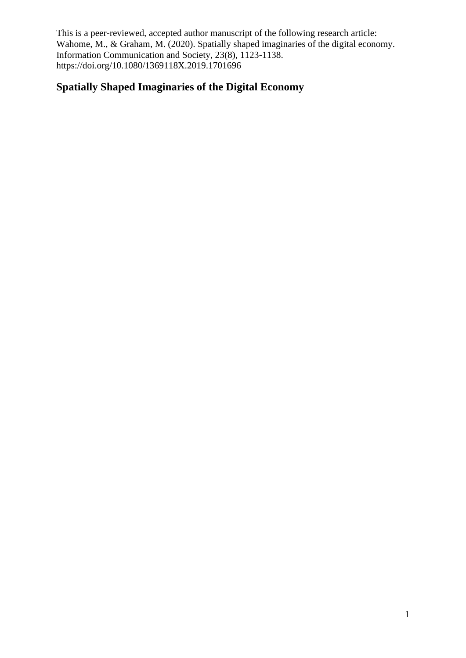# **Spatially Shaped Imaginaries of the Digital Economy**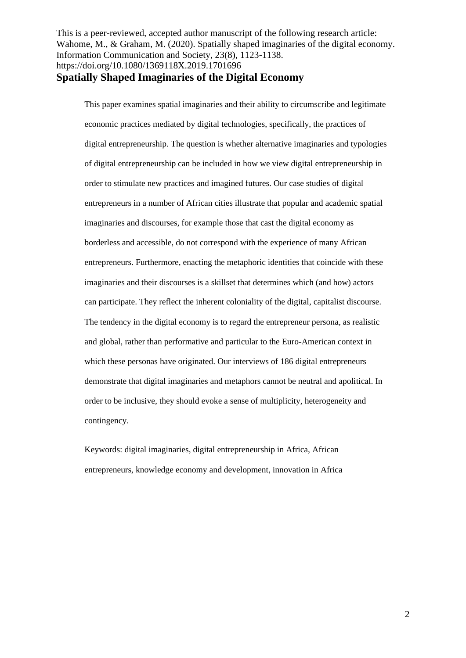This paper examines spatial imaginaries and their ability to circumscribe and legitimate economic practices mediated by digital technologies, specifically, the practices of digital entrepreneurship. The question is whether alternative imaginaries and typologies of digital entrepreneurship can be included in how we view digital entrepreneurship in order to stimulate new practices and imagined futures. Our case studies of digital entrepreneurs in a number of African cities illustrate that popular and academic spatial imaginaries and discourses, for example those that cast the digital economy as borderless and accessible, do not correspond with the experience of many African entrepreneurs. Furthermore, enacting the metaphoric identities that coincide with these imaginaries and their discourses is a skillset that determines which (and how) actors can participate. They reflect the inherent coloniality of the digital, capitalist discourse. The tendency in the digital economy is to regard the entrepreneur persona, as realistic and global, rather than performative and particular to the Euro-American context in which these personas have originated. Our interviews of 186 digital entrepreneurs demonstrate that digital imaginaries and metaphors cannot be neutral and apolitical. In order to be inclusive, they should evoke a sense of multiplicity, heterogeneity and contingency.

Keywords: digital imaginaries, digital entrepreneurship in Africa, African entrepreneurs, knowledge economy and development, innovation in Africa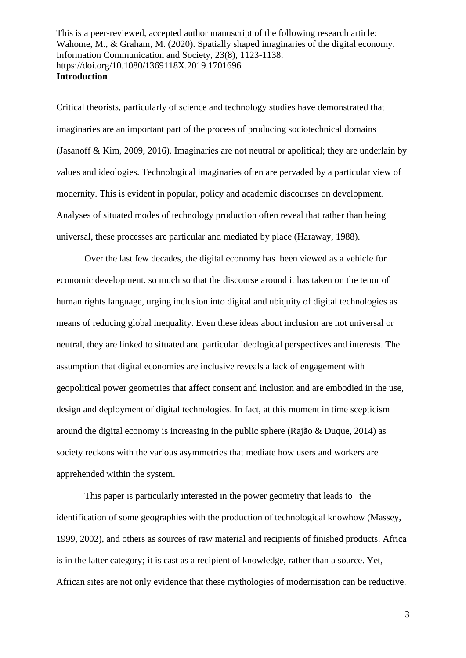Critical theorists, particularly of science and technology studies have demonstrated that imaginaries are an important part of the process of producing sociotechnical domains (Jasanoff & Kim, 2009, 2016). Imaginaries are not neutral or apolitical; they are underlain by values and ideologies. Technological imaginaries often are pervaded by a particular view of modernity. This is evident in popular, policy and academic discourses on development. Analyses of situated modes of technology production often reveal that rather than being universal, these processes are particular and mediated by place (Haraway, 1988).

Over the last few decades, the digital economy has been viewed as a vehicle for economic development. so much so that the discourse around it has taken on the tenor of human rights language, urging inclusion into digital and ubiquity of digital technologies as means of reducing global inequality. Even these ideas about inclusion are not universal or neutral, they are linked to situated and particular ideological perspectives and interests. The assumption that digital economies are inclusive reveals a lack of engagement with geopolitical power geometries that affect consent and inclusion and are embodied in the use, design and deployment of digital technologies. In fact, at this moment in time scepticism around the digital economy is increasing in the public sphere (Rajão & Duque, 2014) as society reckons with the various asymmetries that mediate how users and workers are apprehended within the system.

This paper is particularly interested in the power geometry that leads to the identification of some geographies with the production of technological knowhow (Massey, 1999, 2002), and others as sources of raw material and recipients of finished products. Africa is in the latter category; it is cast as a recipient of knowledge, rather than a source. Yet, African sites are not only evidence that these mythologies of modernisation can be reductive.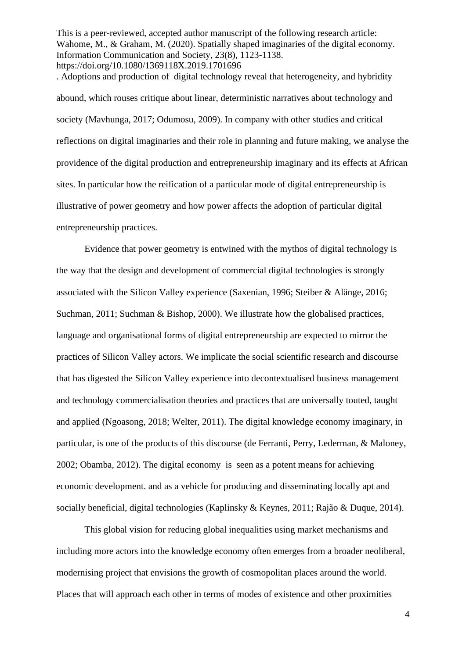. Adoptions and production of digital technology reveal that heterogeneity, and hybridity abound, which rouses critique about linear, deterministic narratives about technology and society (Mavhunga, 2017; Odumosu, 2009). In company with other studies and critical reflections on digital imaginaries and their role in planning and future making, we analyse the providence of the digital production and entrepreneurship imaginary and its effects at African sites. In particular how the reification of a particular mode of digital entrepreneurship is illustrative of power geometry and how power affects the adoption of particular digital entrepreneurship practices.

Evidence that power geometry is entwined with the mythos of digital technology is the way that the design and development of commercial digital technologies is strongly associated with the Silicon Valley experience (Saxenian, 1996; Steiber & Alänge, 2016; Suchman, 2011; Suchman & Bishop, 2000). We illustrate how the globalised practices, language and organisational forms of digital entrepreneurship are expected to mirror the practices of Silicon Valley actors. We implicate the social scientific research and discourse that has digested the Silicon Valley experience into decontextualised business management and technology commercialisation theories and practices that are universally touted, taught and applied (Ngoasong, 2018; Welter, 2011). The digital knowledge economy imaginary, in particular, is one of the products of this discourse (de Ferranti, Perry, Lederman, & Maloney, 2002; Obamba, 2012). The digital economy is seen as a potent means for achieving economic development. and as a vehicle for producing and disseminating locally apt and socially beneficial, digital technologies (Kaplinsky & Keynes, 2011; Rajão & Duque, 2014).

This global vision for reducing global inequalities using market mechanisms and including more actors into the knowledge economy often emerges from a broader neoliberal, modernising project that envisions the growth of cosmopolitan places around the world. Places that will approach each other in terms of modes of existence and other proximities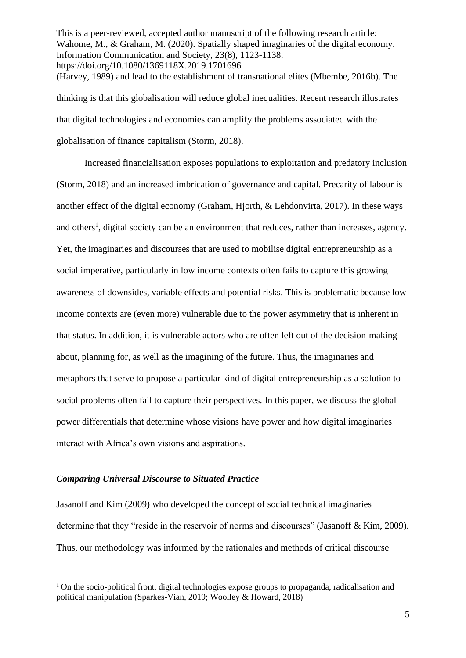This is a peer-reviewed, accepted author manuscript of the following research article: Wahome, M., & Graham, M. (2020). Spatially shaped imaginaries of the digital economy. Information Communication and Society, 23(8), 1123-1138. https://doi.org/10.1080/1369118X.2019.1701696 (Harvey, 1989) and lead to the establishment of transnational elites (Mbembe, 2016b). The thinking is that this globalisation will reduce global inequalities. Recent research illustrates that digital technologies and economies can amplify the problems associated with the globalisation of finance capitalism (Storm, 2018).

Increased financialisation exposes populations to exploitation and predatory inclusion (Storm, 2018) and an increased imbrication of governance and capital. Precarity of labour is another effect of the digital economy (Graham, Hjorth, & Lehdonvirta, 2017). In these ways and others<sup>1</sup>, digital society can be an environment that reduces, rather than increases, agency. Yet, the imaginaries and discourses that are used to mobilise digital entrepreneurship as a social imperative, particularly in low income contexts often fails to capture this growing awareness of downsides, variable effects and potential risks. This is problematic because lowincome contexts are (even more) vulnerable due to the power asymmetry that is inherent in that status. In addition, it is vulnerable actors who are often left out of the decision-making about, planning for, as well as the imagining of the future. Thus, the imaginaries and metaphors that serve to propose a particular kind of digital entrepreneurship as a solution to social problems often fail to capture their perspectives. In this paper, we discuss the global power differentials that determine whose visions have power and how digital imaginaries interact with Africa's own visions and aspirations.

#### *Comparing Universal Discourse to Situated Practice*

Jasanoff and Kim (2009) who developed the concept of social technical imaginaries determine that they "reside in the reservoir of norms and discourses" (Jasanoff & Kim, 2009). Thus, our methodology was informed by the rationales and methods of critical discourse

<sup>&</sup>lt;sup>1</sup> On the socio-political front, digital technologies expose groups to propaganda, radicalisation and political manipulation (Sparkes-Vian, 2019; Woolley & Howard, 2018)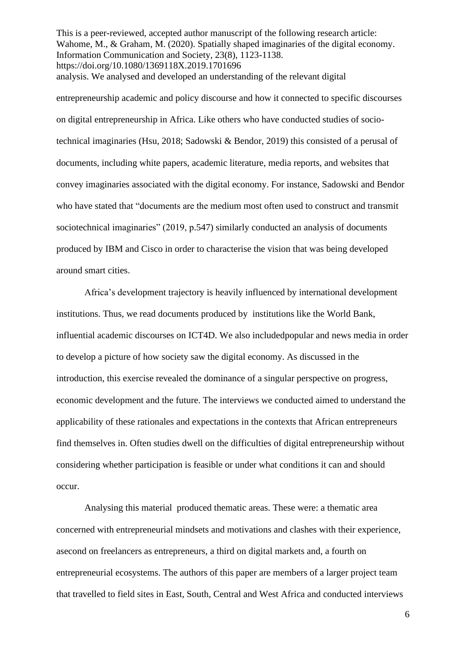This is a peer-reviewed, accepted author manuscript of the following research article: Wahome, M., & Graham, M. (2020). Spatially shaped imaginaries of the digital economy. Information Communication and Society, 23(8), 1123-1138. https://doi.org/10.1080/1369118X.2019.1701696 analysis. We analysed and developed an understanding of the relevant digital

entrepreneurship academic and policy discourse and how it connected to specific discourses on digital entrepreneurship in Africa. Like others who have conducted studies of sociotechnical imaginaries (Hsu, 2018; Sadowski & Bendor, 2019) this consisted of a perusal of documents, including white papers, academic literature, media reports, and websites that convey imaginaries associated with the digital economy. For instance, Sadowski and Bendor who have stated that "documents are the medium most often used to construct and transmit sociotechnical imaginaries" (2019, p.547) similarly conducted an analysis of documents produced by IBM and Cisco in order to characterise the vision that was being developed around smart cities.

Africa's development trajectory is heavily influenced by international development institutions. Thus, we read documents produced by institutions like the World Bank, influential academic discourses on ICT4D. We also includedpopular and news media in order to develop a picture of how society saw the digital economy. As discussed in the introduction, this exercise revealed the dominance of a singular perspective on progress, economic development and the future. The interviews we conducted aimed to understand the applicability of these rationales and expectations in the contexts that African entrepreneurs find themselves in. Often studies dwell on the difficulties of digital entrepreneurship without considering whether participation is feasible or under what conditions it can and should occur.

Analysing this material produced thematic areas. These were: a thematic area concerned with entrepreneurial mindsets and motivations and clashes with their experience, asecond on freelancers as entrepreneurs, a third on digital markets and, a fourth on entrepreneurial ecosystems. The authors of this paper are members of a larger project team that travelled to field sites in East, South, Central and West Africa and conducted interviews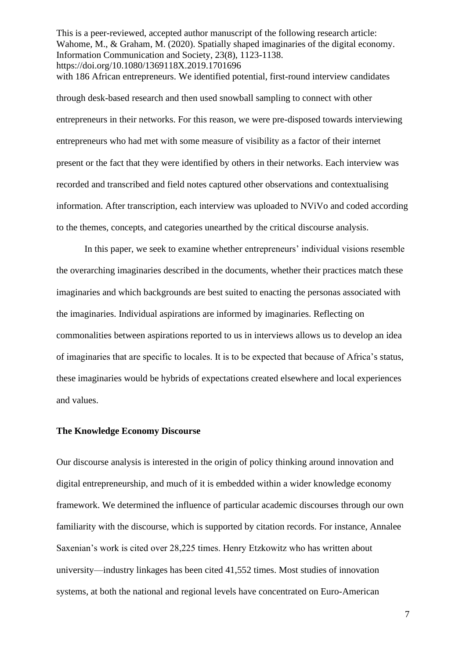This is a peer-reviewed, accepted author manuscript of the following research article: Wahome, M., & Graham, M. (2020). Spatially shaped imaginaries of the digital economy. Information Communication and Society, 23(8), 1123-1138. https://doi.org/10.1080/1369118X.2019.1701696 with 186 African entrepreneurs. We identified potential, first-round interview candidates

through desk-based research and then used snowball sampling to connect with other entrepreneurs in their networks. For this reason, we were pre-disposed towards interviewing entrepreneurs who had met with some measure of visibility as a factor of their internet present or the fact that they were identified by others in their networks. Each interview was recorded and transcribed and field notes captured other observations and contextualising information. After transcription, each interview was uploaded to NViVo and coded according to the themes, concepts, and categories unearthed by the critical discourse analysis.

In this paper, we seek to examine whether entrepreneurs' individual visions resemble the overarching imaginaries described in the documents, whether their practices match these imaginaries and which backgrounds are best suited to enacting the personas associated with the imaginaries. Individual aspirations are informed by imaginaries. Reflecting on commonalities between aspirations reported to us in interviews allows us to develop an idea of imaginaries that are specific to locales. It is to be expected that because of Africa's status, these imaginaries would be hybrids of expectations created elsewhere and local experiences and values.

## **The Knowledge Economy Discourse**

Our discourse analysis is interested in the origin of policy thinking around innovation and digital entrepreneurship, and much of it is embedded within a wider knowledge economy framework. We determined the influence of particular academic discourses through our own familiarity with the discourse, which is supported by citation records. For instance, Annalee Saxenian's work is cited over 28,225 times. Henry Etzkowitz who has written about university—industry linkages has been cited 41,552 times. Most studies of innovation systems, at both the national and regional levels have concentrated on Euro-American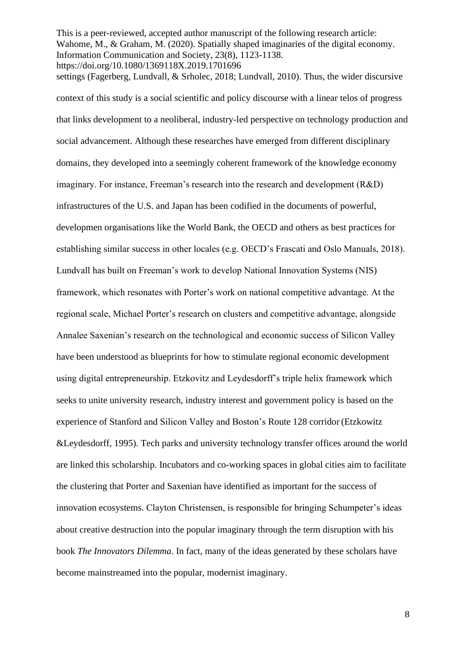This is a peer-reviewed, accepted author manuscript of the following research article: Wahome, M., & Graham, M. (2020). Spatially shaped imaginaries of the digital economy. Information Communication and Society, 23(8), 1123-1138. https://doi.org/10.1080/1369118X.2019.1701696 settings (Fagerberg, Lundvall, & Srholec, 2018; Lundvall, 2010). Thus, the wider discursive

context of this study is a social scientific and policy discourse with a linear telos of progress that links development to a neoliberal, industry-led perspective on technology production and social advancement. Although these researches have emerged from different disciplinary domains, they developed into a seemingly coherent framework of the knowledge economy imaginary. For instance, Freeman's research into the research and development (R&D) infrastructures of the U.S. and Japan has been codified in the documents of powerful, developmen organisations like the World Bank, the OECD and others as best practices for establishing similar success in other locales (e.g. OECD's Frascati and Oslo Manuals, 2018). Lundvall has built on Freeman's work to develop National Innovation Systems (NIS) framework, which resonates with Porter's work on national competitive advantage. At the regional scale, Michael Porter's research on clusters and competitive advantage, alongside Annalee Saxenian's research on the technological and economic success of Silicon Valley have been understood as blueprints for how to stimulate regional economic development using digital entrepreneurship. Etzkovitz and Leydesdorff's triple helix framework which seeks to unite university research, industry interest and government policy is based on the experience of Stanford and Silicon Valley and Boston's Route 128 corridor (Etzkowitz &Leydesdorff, 1995). Tech parks and university technology transfer offices around the world are linked this scholarship. Incubators and co-working spaces in global cities aim to facilitate the clustering that Porter and Saxenian have identified as important for the success of innovation ecosystems. Clayton Christensen, is responsible for bringing Schumpeter's ideas about creative destruction into the popular imaginary through the term disruption with his book *The Innovators Dilemma*. In fact, many of the ideas generated by these scholars have become mainstreamed into the popular, modernist imaginary.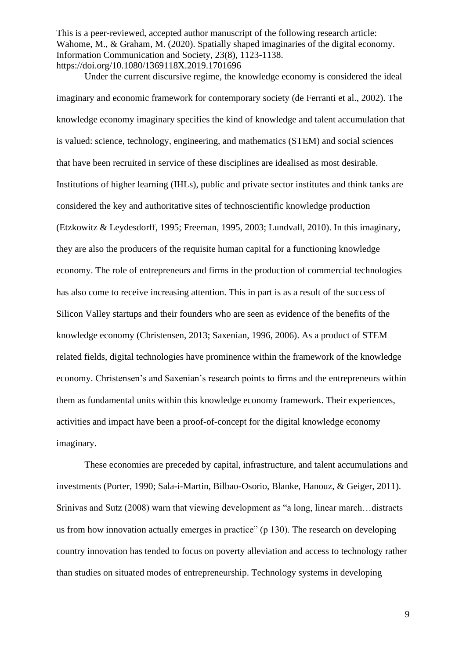Under the current discursive regime, the knowledge economy is considered the ideal imaginary and economic framework for contemporary society (de Ferranti et al., 2002). The knowledge economy imaginary specifies the kind of knowledge and talent accumulation that is valued: science, technology, engineering, and mathematics (STEM) and social sciences that have been recruited in service of these disciplines are idealised as most desirable. Institutions of higher learning (IHLs), public and private sector institutes and think tanks are considered the key and authoritative sites of technoscientific knowledge production (Etzkowitz & Leydesdorff, 1995; Freeman, 1995, 2003; Lundvall, 2010). In this imaginary, they are also the producers of the requisite human capital for a functioning knowledge economy. The role of entrepreneurs and firms in the production of commercial technologies has also come to receive increasing attention. This in part is as a result of the success of Silicon Valley startups and their founders who are seen as evidence of the benefits of the knowledge economy (Christensen, 2013; Saxenian, 1996, 2006). As a product of STEM related fields, digital technologies have prominence within the framework of the knowledge economy. Christensen's and Saxenian's research points to firms and the entrepreneurs within them as fundamental units within this knowledge economy framework. Their experiences, activities and impact have been a proof-of-concept for the digital knowledge economy imaginary.

These economies are preceded by capital, infrastructure, and talent accumulations and investments (Porter, 1990; Sala-i-Martin, Bilbao-Osorio, Blanke, Hanouz, & Geiger, 2011). Srinivas and Sutz (2008) warn that viewing development as "a long, linear march…distracts us from how innovation actually emerges in practice" (p 130). The research on developing country innovation has tended to focus on poverty alleviation and access to technology rather than studies on situated modes of entrepreneurship. Technology systems in developing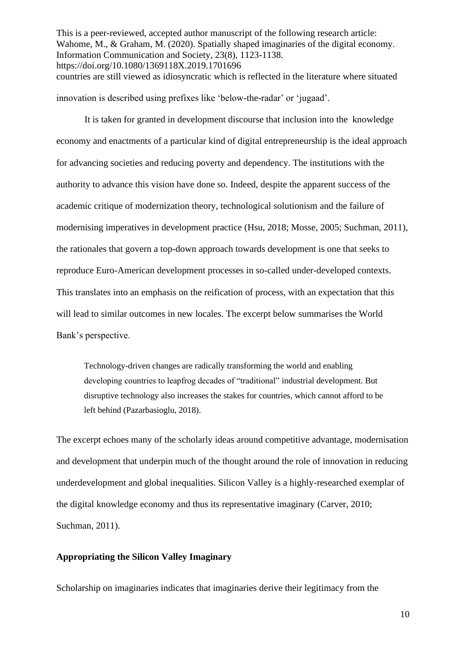This is a peer-reviewed, accepted author manuscript of the following research article: Wahome, M., & Graham, M. (2020). Spatially shaped imaginaries of the digital economy. Information Communication and Society, 23(8), 1123-1138. https://doi.org/10.1080/1369118X.2019.1701696 countries are still viewed as idiosyncratic which is reflected in the literature where situated

innovation is described using prefixes like 'below-the-radar' or 'jugaad'.

It is taken for granted in development discourse that inclusion into the knowledge economy and enactments of a particular kind of digital entrepreneurship is the ideal approach for advancing societies and reducing poverty and dependency. The institutions with the authority to advance this vision have done so. Indeed, despite the apparent success of the academic critique of modernization theory, technological solutionism and the failure of modernising imperatives in development practice (Hsu, 2018; Mosse, 2005; Suchman, 2011), the rationales that govern a top-down approach towards development is one that seeks to reproduce Euro-American development processes in so-called under-developed contexts. This translates into an emphasis on the reification of process, with an expectation that this will lead to similar outcomes in new locales. The excerpt below summarises the World Bank's perspective.

Technology-driven changes are radically transforming the world and enabling developing countries to leapfrog decades of "traditional" industrial development. But disruptive technology also increases the stakes for countries, which cannot afford to be left behind (Pazarbasioglu, 2018).

The excerpt echoes many of the scholarly ideas around competitive advantage, modernisation and development that underpin much of the thought around the role of innovation in reducing underdevelopment and global inequalities. Silicon Valley is a highly-researched exemplar of the digital knowledge economy and thus its representative imaginary (Carver, 2010; Suchman, 2011).

## **Appropriating the Silicon Valley Imaginary**

Scholarship on imaginaries indicates that imaginaries derive their legitimacy from the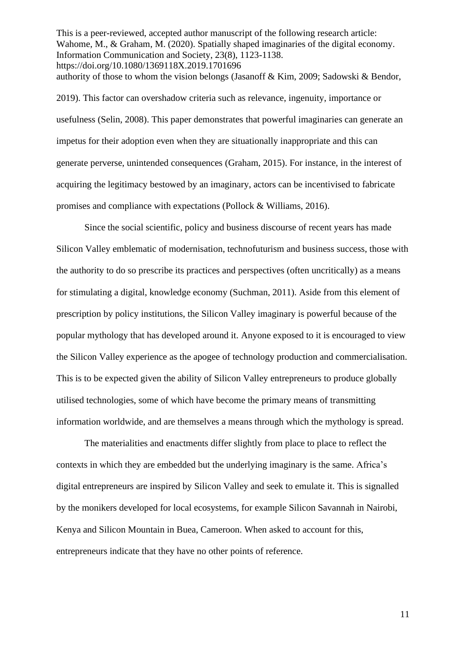This is a peer-reviewed, accepted author manuscript of the following research article: Wahome, M., & Graham, M. (2020). Spatially shaped imaginaries of the digital economy. Information Communication and Society, 23(8), 1123-1138. https://doi.org/10.1080/1369118X.2019.1701696 authority of those to whom the vision belongs (Jasanoff & Kim, 2009; Sadowski & Bendor,

2019). This factor can overshadow criteria such as relevance, ingenuity, importance or usefulness (Selin, 2008). This paper demonstrates that powerful imaginaries can generate an impetus for their adoption even when they are situationally inappropriate and this can generate perverse, unintended consequences (Graham, 2015). For instance, in the interest of acquiring the legitimacy bestowed by an imaginary, actors can be incentivised to fabricate promises and compliance with expectations (Pollock & Williams, 2016).

Since the social scientific, policy and business discourse of recent years has made Silicon Valley emblematic of modernisation, technofuturism and business success, those with the authority to do so prescribe its practices and perspectives (often uncritically) as a means for stimulating a digital, knowledge economy (Suchman, 2011). Aside from this element of prescription by policy institutions, the Silicon Valley imaginary is powerful because of the popular mythology that has developed around it. Anyone exposed to it is encouraged to view the Silicon Valley experience as the apogee of technology production and commercialisation. This is to be expected given the ability of Silicon Valley entrepreneurs to produce globally utilised technologies, some of which have become the primary means of transmitting information worldwide, and are themselves a means through which the mythology is spread.

The materialities and enactments differ slightly from place to place to reflect the contexts in which they are embedded but the underlying imaginary is the same. Africa's digital entrepreneurs are inspired by Silicon Valley and seek to emulate it. This is signalled by the monikers developed for local ecosystems, for example Silicon Savannah in Nairobi, Kenya and Silicon Mountain in Buea, Cameroon. When asked to account for this, entrepreneurs indicate that they have no other points of reference.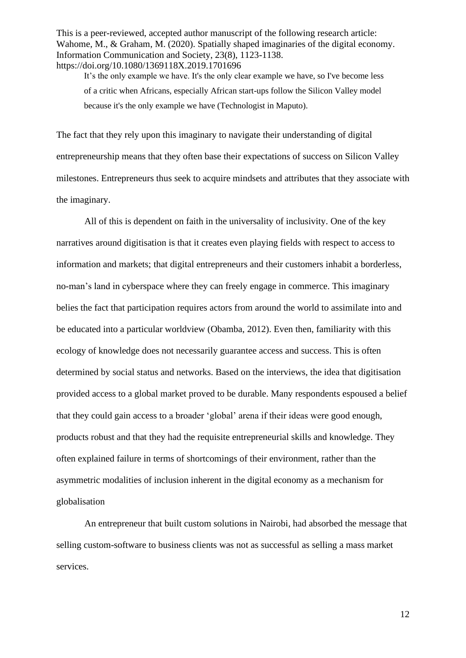It's the only example we have. It's the only clear example we have, so I've become less of a critic when Africans, especially African start-ups follow the Silicon Valley model because it's the only example we have (Technologist in Maputo).

The fact that they rely upon this imaginary to navigate their understanding of digital entrepreneurship means that they often base their expectations of success on Silicon Valley milestones. Entrepreneurs thus seek to acquire mindsets and attributes that they associate with the imaginary.

All of this is dependent on faith in the universality of inclusivity. One of the key narratives around digitisation is that it creates even playing fields with respect to access to information and markets; that digital entrepreneurs and their customers inhabit a borderless, no-man's land in cyberspace where they can freely engage in commerce. This imaginary belies the fact that participation requires actors from around the world to assimilate into and be educated into a particular worldview (Obamba, 2012). Even then, familiarity with this ecology of knowledge does not necessarily guarantee access and success. This is often determined by social status and networks. Based on the interviews, the idea that digitisation provided access to a global market proved to be durable. Many respondents espoused a belief that they could gain access to a broader 'global' arena if their ideas were good enough, products robust and that they had the requisite entrepreneurial skills and knowledge. They often explained failure in terms of shortcomings of their environment, rather than the asymmetric modalities of inclusion inherent in the digital economy as a mechanism for globalisation

An entrepreneur that built custom solutions in Nairobi, had absorbed the message that selling custom-software to business clients was not as successful as selling a mass market services.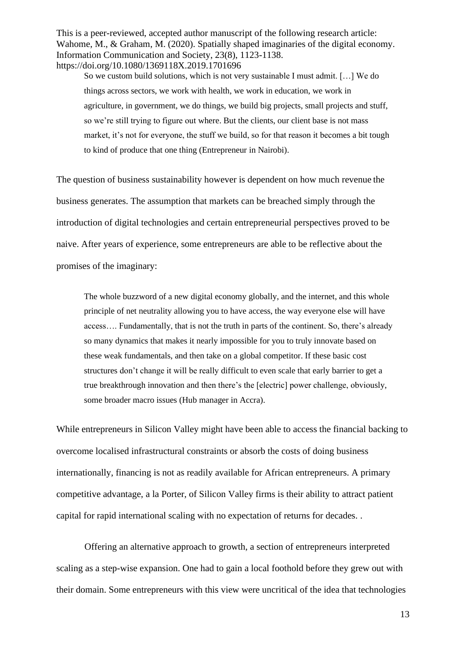So we custom build solutions, which is not very sustainable I must admit. […] We do things across sectors, we work with health, we work in education, we work in agriculture, in government, we do things, we build big projects, small projects and stuff, so we're still trying to figure out where. But the clients, our client base is not mass market, it's not for everyone, the stuff we build, so for that reason it becomes a bit tough to kind of produce that one thing (Entrepreneur in Nairobi).

The question of business sustainability however is dependent on how much revenue the business generates. The assumption that markets can be breached simply through the introduction of digital technologies and certain entrepreneurial perspectives proved to be naive. After years of experience, some entrepreneurs are able to be reflective about the promises of the imaginary:

The whole buzzword of a new digital economy globally, and the internet, and this whole principle of net neutrality allowing you to have access, the way everyone else will have access…. Fundamentally, that is not the truth in parts of the continent. So, there's already so many dynamics that makes it nearly impossible for you to truly innovate based on these weak fundamentals, and then take on a global competitor. If these basic cost structures don't change it will be really difficult to even scale that early barrier to get a true breakthrough innovation and then there's the [electric] power challenge, obviously, some broader macro issues (Hub manager in Accra).

While entrepreneurs in Silicon Valley might have been able to access the financial backing to overcome localised infrastructural constraints or absorb the costs of doing business internationally, financing is not as readily available for African entrepreneurs. A primary competitive advantage, a la Porter, of Silicon Valley firms is their ability to attract patient capital for rapid international scaling with no expectation of returns for decades. .

Offering an alternative approach to growth, a section of entrepreneurs interpreted scaling as a step-wise expansion. One had to gain a local foothold before they grew out with their domain. Some entrepreneurs with this view were uncritical of the idea that technologies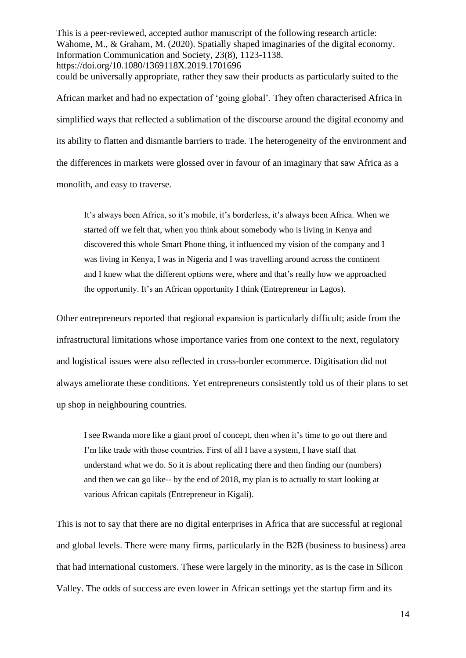This is a peer-reviewed, accepted author manuscript of the following research article: Wahome, M., & Graham, M. (2020). Spatially shaped imaginaries of the digital economy. Information Communication and Society, 23(8), 1123-1138. https://doi.org/10.1080/1369118X.2019.1701696 could be universally appropriate, rather they saw their products as particularly suited to the African market and had no expectation of 'going global'. They often characterised Africa in simplified ways that reflected a sublimation of the discourse around the digital economy and its ability to flatten and dismantle barriers to trade. The heterogeneity of the environment and

the differences in markets were glossed over in favour of an imaginary that saw Africa as a monolith, and easy to traverse.

It's always been Africa, so it's mobile, it's borderless, it's always been Africa. When we started off we felt that, when you think about somebody who is living in Kenya and discovered this whole Smart Phone thing, it influenced my vision of the company and I was living in Kenya, I was in Nigeria and I was travelling around across the continent and I knew what the different options were, where and that's really how we approached the opportunity. It's an African opportunity I think (Entrepreneur in Lagos).

Other entrepreneurs reported that regional expansion is particularly difficult; aside from the infrastructural limitations whose importance varies from one context to the next, regulatory and logistical issues were also reflected in cross-border ecommerce. Digitisation did not always ameliorate these conditions. Yet entrepreneurs consistently told us of their plans to set up shop in neighbouring countries.

I see Rwanda more like a giant proof of concept, then when it's time to go out there and I'm like trade with those countries. First of all I have a system, I have staff that understand what we do. So it is about replicating there and then finding our (numbers) and then we can go like-- by the end of 2018, my plan is to actually to start looking at various African capitals (Entrepreneur in Kigali).

This is not to say that there are no digital enterprises in Africa that are successful at regional and global levels. There were many firms, particularly in the B2B (business to business) area that had international customers. These were largely in the minority, as is the case in Silicon Valley. The odds of success are even lower in African settings yet the startup firm and its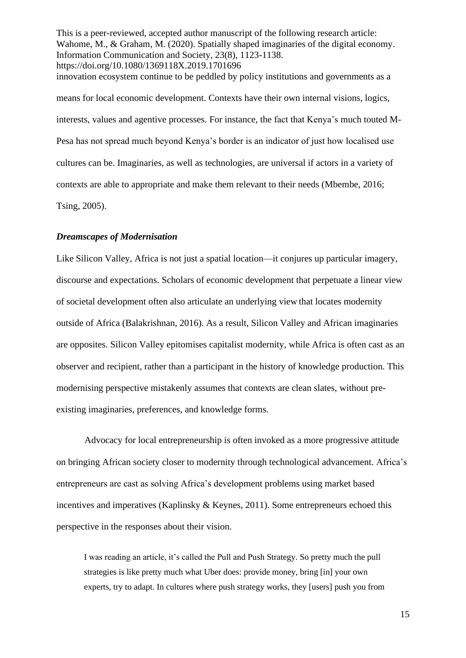This is a peer-reviewed, accepted author manuscript of the following research article: Wahome, M., & Graham, M. (2020). Spatially shaped imaginaries of the digital economy. Information Communication and Society, 23(8), 1123-1138. https://doi.org/10.1080/1369118X.2019.1701696 innovation ecosystem continue to be peddled by policy institutions and governments as a means for local economic development. Contexts have their own internal visions, logics, interests, values and agentive processes. For instance, the fact that Kenya's much touted M-Pesa has not spread much beyond Kenya's border is an indicator of just how localised use cultures can be. Imaginaries, as well as technologies, are universal if actors in a variety of contexts are able to appropriate and make them relevant to their needs (Mbembe, 2016;

Tsing, 2005).

# *Dreamscapes of Modernisation*

Like Silicon Valley, Africa is not just a spatial location—it conjures up particular imagery, discourse and expectations. Scholars of economic development that perpetuate a linear view of societal development often also articulate an underlying view that locates modernity outside of Africa (Balakrishnan, 2016). As a result, Silicon Valley and African imaginaries are opposites. Silicon Valley epitomises capitalist modernity, while Africa is often cast as an observer and recipient, rather than a participant in the history of knowledge production. This modernising perspective mistakenly assumes that contexts are clean slates, without preexisting imaginaries, preferences, and knowledge forms.

Advocacy for local entrepreneurship is often invoked as a more progressive attitude on bringing African society closer to modernity through technological advancement. Africa's entrepreneurs are cast as solving Africa's development problems using market based incentives and imperatives (Kaplinsky & Keynes, 2011). Some entrepreneurs echoed this perspective in the responses about their vision.

I was reading an article, it's called the Pull and Push Strategy. So pretty much the pull strategies is like pretty much what Uber does: provide money, bring [in] your own experts, try to adapt. In cultures where push strategy works, they [users] push you from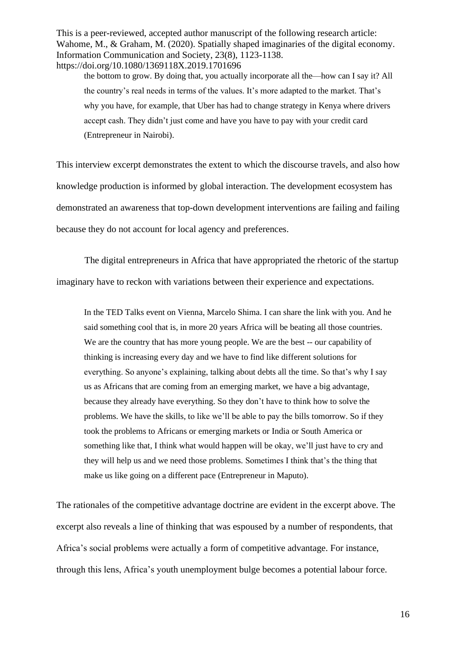the bottom to grow. By doing that, you actually incorporate all the—how can I say it? All the country's real needs in terms of the values. It's more adapted to the market. That's why you have, for example, that Uber has had to change strategy in Kenya where drivers accept cash. They didn't just come and have you have to pay with your credit card (Entrepreneur in Nairobi).

This interview excerpt demonstrates the extent to which the discourse travels, and also how knowledge production is informed by global interaction. The development ecosystem has demonstrated an awareness that top-down development interventions are failing and failing because they do not account for local agency and preferences.

The digital entrepreneurs in Africa that have appropriated the rhetoric of the startup imaginary have to reckon with variations between their experience and expectations.

In the TED Talks event on Vienna, Marcelo Shima. I can share the link with you. And he said something cool that is, in more 20 years Africa will be beating all those countries. We are the country that has more young people. We are the best -- our capability of thinking is increasing every day and we have to find like different solutions for everything. So anyone's explaining, talking about debts all the time. So that's why I say us as Africans that are coming from an emerging market, we have a big advantage, because they already have everything. So they don't have to think how to solve the problems. We have the skills, to like we'll be able to pay the bills tomorrow. So if they took the problems to Africans or emerging markets or India or South America or something like that, I think what would happen will be okay, we'll just have to cry and they will help us and we need those problems. Sometimes I think that's the thing that make us like going on a different pace (Entrepreneur in Maputo).

The rationales of the competitive advantage doctrine are evident in the excerpt above. The excerpt also reveals a line of thinking that was espoused by a number of respondents, that Africa's social problems were actually a form of competitive advantage. For instance, through this lens, Africa's youth unemployment bulge becomes a potential labour force.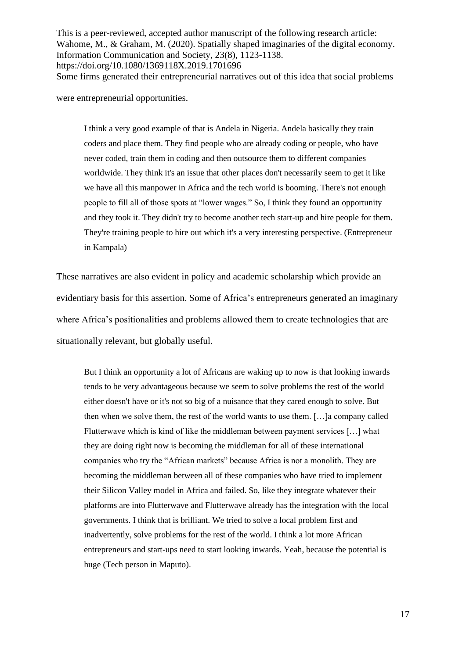This is a peer-reviewed, accepted author manuscript of the following research article: Wahome, M., & Graham, M. (2020). Spatially shaped imaginaries of the digital economy. Information Communication and Society, 23(8), 1123-1138. https://doi.org/10.1080/1369118X.2019.1701696 Some firms generated their entrepreneurial narratives out of this idea that social problems

were entrepreneurial opportunities.

I think a very good example of that is Andela in Nigeria. Andela basically they train coders and place them. They find people who are already coding or people, who have never coded, train them in coding and then outsource them to different companies worldwide. They think it's an issue that other places don't necessarily seem to get it like we have all this manpower in Africa and the tech world is booming. There's not enough people to fill all of those spots at "lower wages." So, I think they found an opportunity and they took it. They didn't try to become another tech start-up and hire people for them. They're training people to hire out which it's a very interesting perspective. (Entrepreneur in Kampala)

These narratives are also evident in policy and academic scholarship which provide an evidentiary basis for this assertion. Some of Africa's entrepreneurs generated an imaginary where Africa's positionalities and problems allowed them to create technologies that are situationally relevant, but globally useful.

But I think an opportunity a lot of Africans are waking up to now is that looking inwards tends to be very advantageous because we seem to solve problems the rest of the world either doesn't have or it's not so big of a nuisance that they cared enough to solve. But then when we solve them, the rest of the world wants to use them. […]a company called Flutterwave which is kind of like the middleman between payment services […] what they are doing right now is becoming the middleman for all of these international companies who try the "African markets" because Africa is not a monolith. They are becoming the middleman between all of these companies who have tried to implement their Silicon Valley model in Africa and failed. So, like they integrate whatever their platforms are into Flutterwave and Flutterwave already has the integration with the local governments. I think that is brilliant. We tried to solve a local problem first and inadvertently, solve problems for the rest of the world. I think a lot more African entrepreneurs and start-ups need to start looking inwards. Yeah, because the potential is huge (Tech person in Maputo).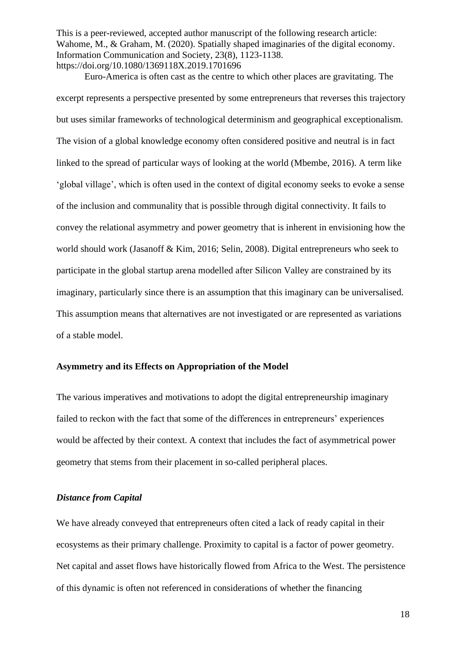Euro-America is often cast as the centre to which other places are gravitating. The excerpt represents a perspective presented by some entrepreneurs that reverses this trajectory but uses similar frameworks of technological determinism and geographical exceptionalism. The vision of a global knowledge economy often considered positive and neutral is in fact linked to the spread of particular ways of looking at the world (Mbembe, 2016). A term like 'global village', which is often used in the context of digital economy seeks to evoke a sense of the inclusion and communality that is possible through digital connectivity. It fails to convey the relational asymmetry and power geometry that is inherent in envisioning how the world should work (Jasanoff & Kim, 2016; Selin, 2008). Digital entrepreneurs who seek to participate in the global startup arena modelled after Silicon Valley are constrained by its imaginary, particularly since there is an assumption that this imaginary can be universalised. This assumption means that alternatives are not investigated or are represented as variations of a stable model.

## **Asymmetry and its Effects on Appropriation of the Model**

The various imperatives and motivations to adopt the digital entrepreneurship imaginary failed to reckon with the fact that some of the differences in entrepreneurs' experiences would be affected by their context. A context that includes the fact of asymmetrical power geometry that stems from their placement in so-called peripheral places.

#### *Distance from Capital*

We have already conveyed that entrepreneurs often cited a lack of ready capital in their ecosystems as their primary challenge. Proximity to capital is a factor of power geometry. Net capital and asset flows have historically flowed from Africa to the West. The persistence of this dynamic is often not referenced in considerations of whether the financing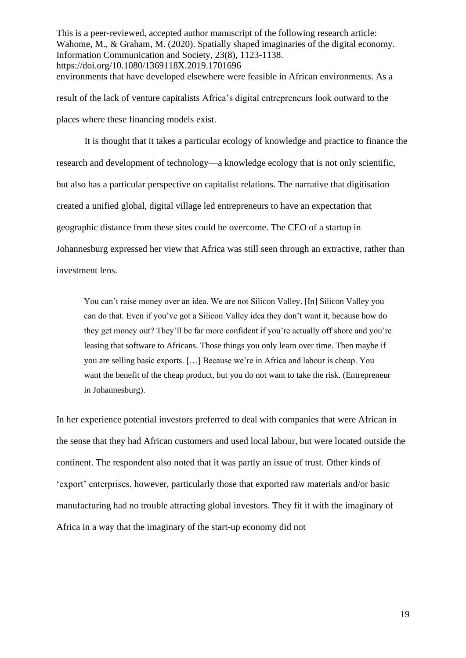This is a peer-reviewed, accepted author manuscript of the following research article: Wahome, M., & Graham, M. (2020). Spatially shaped imaginaries of the digital economy. Information Communication and Society, 23(8), 1123-1138. https://doi.org/10.1080/1369118X.2019.1701696 environments that have developed elsewhere were feasible in African environments. As a result of the lack of venture capitalists Africa's digital entrepreneurs look outward to the

places where these financing models exist.

It is thought that it takes a particular ecology of knowledge and practice to finance the research and development of technology—a knowledge ecology that is not only scientific, but also has a particular perspective on capitalist relations. The narrative that digitisation created a unified global, digital village led entrepreneurs to have an expectation that geographic distance from these sites could be overcome. The CEO of a startup in Johannesburg expressed her view that Africa was still seen through an extractive, rather than investment lens.

You can't raise money over an idea. We are not Silicon Valley. [In] Silicon Valley you can do that. Even if you've got a Silicon Valley idea they don't want it, because how do they get money out? They'll be far more confident if you're actually off shore and you're leasing that software to Africans. Those things you only learn over time. Then maybe if you are selling basic exports. […] Because we're in Africa and labour is cheap. You want the benefit of the cheap product, but you do not want to take the risk. (Entrepreneur in Johannesburg).

In her experience potential investors preferred to deal with companies that were African in the sense that they had African customers and used local labour, but were located outside the continent. The respondent also noted that it was partly an issue of trust. Other kinds of 'export' enterprises, however, particularly those that exported raw materials and/or basic manufacturing had no trouble attracting global investors. They fit it with the imaginary of Africa in a way that the imaginary of the start-up economy did not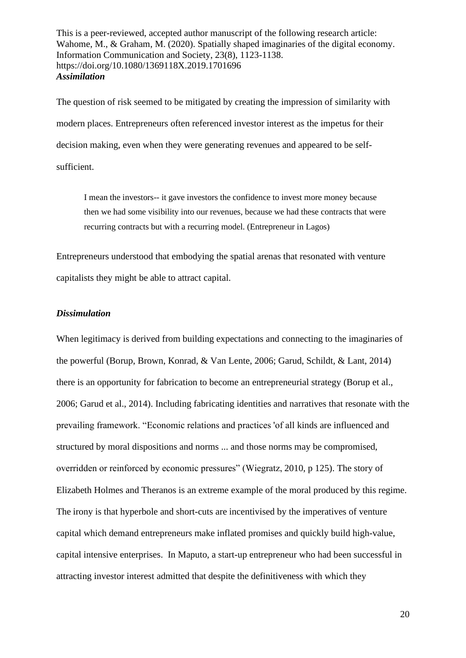The question of risk seemed to be mitigated by creating the impression of similarity with modern places. Entrepreneurs often referenced investor interest as the impetus for their decision making, even when they were generating revenues and appeared to be selfsufficient.

I mean the investors-- it gave investors the confidence to invest more money because then we had some visibility into our revenues, because we had these contracts that were recurring contracts but with a recurring model. (Entrepreneur in Lagos)

Entrepreneurs understood that embodying the spatial arenas that resonated with venture capitalists they might be able to attract capital.

## *Dissimulation*

When legitimacy is derived from building expectations and connecting to the imaginaries of the powerful (Borup, Brown, Konrad, & Van Lente, 2006; Garud, Schildt, & Lant, 2014) there is an opportunity for fabrication to become an entrepreneurial strategy (Borup et al., 2006; Garud et al., 2014). Including fabricating identities and narratives that resonate with the prevailing framework. "Economic relations and practices 'of all kinds are influenced and structured by moral dispositions and norms ... and those norms may be compromised, overridden or reinforced by economic pressures" (Wiegratz, 2010, p 125). The story of Elizabeth Holmes and Theranos is an extreme example of the moral produced by this regime. The irony is that hyperbole and short-cuts are incentivised by the imperatives of venture capital which demand entrepreneurs make inflated promises and quickly build high-value, capital intensive enterprises. In Maputo, a start-up entrepreneur who had been successful in attracting investor interest admitted that despite the definitiveness with which they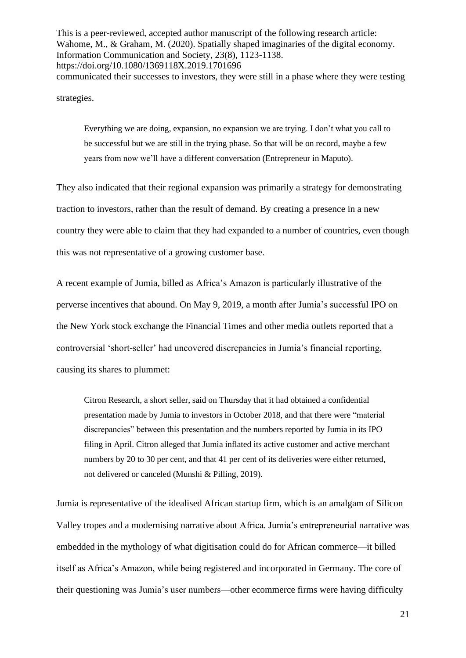This is a peer-reviewed, accepted author manuscript of the following research article: Wahome, M., & Graham, M. (2020). Spatially shaped imaginaries of the digital economy. Information Communication and Society, 23(8), 1123-1138. https://doi.org/10.1080/1369118X.2019.1701696 communicated their successes to investors, they were still in a phase where they were testing

strategies.

Everything we are doing, expansion, no expansion we are trying. I don't what you call to be successful but we are still in the trying phase. So that will be on record, maybe a few years from now we'll have a different conversation (Entrepreneur in Maputo).

They also indicated that their regional expansion was primarily a strategy for demonstrating traction to investors, rather than the result of demand. By creating a presence in a new country they were able to claim that they had expanded to a number of countries, even though this was not representative of a growing customer base.

A recent example of Jumia, billed as Africa's Amazon is particularly illustrative of the perverse incentives that abound. On May 9, 2019, a month after Jumia's successful IPO on the New York stock exchange the Financial Times and other media outlets reported that a controversial 'short-seller' had uncovered discrepancies in Jumia's financial reporting, causing its shares to plummet:

Citron Research, a short seller, said on Thursday that it had obtained a confidential presentation made by Jumia to investors in October 2018, and that there were "material discrepancies" between this presentation and the numbers reported by Jumia in its IPO filing in April. Citron alleged that Jumia inflated its active customer and active merchant numbers by 20 to 30 per cent, and that 41 per cent of its deliveries were either returned, not delivered or canceled (Munshi & Pilling, 2019).

Jumia is representative of the idealised African startup firm, which is an amalgam of Silicon Valley tropes and a modernising narrative about Africa. Jumia's entrepreneurial narrative was embedded in the mythology of what digitisation could do for African commerce—it billed itself as Africa's Amazon, while being registered and incorporated in Germany. The core of their questioning was Jumia's user numbers—other ecommerce firms were having difficulty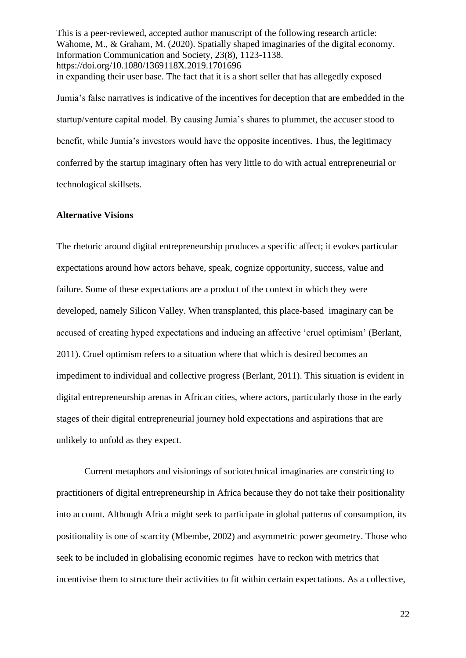This is a peer-reviewed, accepted author manuscript of the following research article: Wahome, M., & Graham, M. (2020). Spatially shaped imaginaries of the digital economy. Information Communication and Society, 23(8), 1123-1138. https://doi.org/10.1080/1369118X.2019.1701696 in expanding their user base. The fact that it is a short seller that has allegedly exposed Jumia's false narratives is indicative of the incentives for deception that are embedded in the startup/venture capital model. By causing Jumia's shares to plummet, the accuser stood to benefit, while Jumia's investors would have the opposite incentives. Thus, the legitimacy conferred by the startup imaginary often has very little to do with actual entrepreneurial or technological skillsets.

## **Alternative Visions**

The rhetoric around digital entrepreneurship produces a specific affect; it evokes particular expectations around how actors behave, speak, cognize opportunity, success, value and failure. Some of these expectations are a product of the context in which they were developed, namely Silicon Valley. When transplanted, this place-based imaginary can be accused of creating hyped expectations and inducing an affective 'cruel optimism' (Berlant, 2011). Cruel optimism refers to a situation where that which is desired becomes an impediment to individual and collective progress (Berlant, 2011). This situation is evident in digital entrepreneurship arenas in African cities, where actors, particularly those in the early stages of their digital entrepreneurial journey hold expectations and aspirations that are unlikely to unfold as they expect.

Current metaphors and visionings of sociotechnical imaginaries are constricting to practitioners of digital entrepreneurship in Africa because they do not take their positionality into account. Although Africa might seek to participate in global patterns of consumption, its positionality is one of scarcity (Mbembe, 2002) and asymmetric power geometry. Those who seek to be included in globalising economic regimes have to reckon with metrics that incentivise them to structure their activities to fit within certain expectations. As a collective,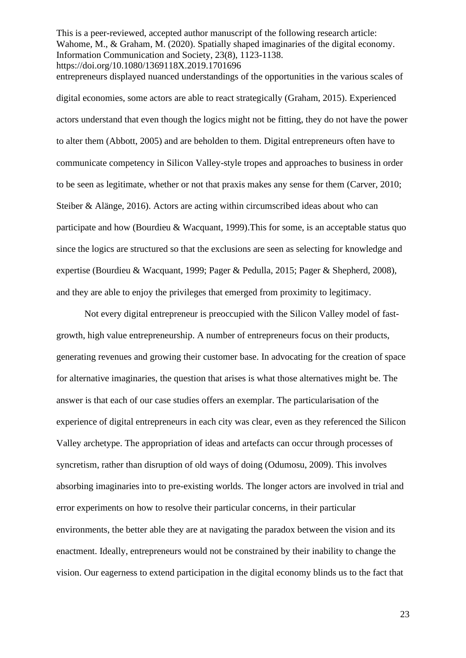This is a peer-reviewed, accepted author manuscript of the following research article: Wahome, M., & Graham, M. (2020). Spatially shaped imaginaries of the digital economy. Information Communication and Society, 23(8), 1123-1138. https://doi.org/10.1080/1369118X.2019.1701696 entrepreneurs displayed nuanced understandings of the opportunities in the various scales of

digital economies, some actors are able to react strategically (Graham, 2015). Experienced actors understand that even though the logics might not be fitting, they do not have the power to alter them (Abbott, 2005) and are beholden to them. Digital entrepreneurs often have to communicate competency in Silicon Valley-style tropes and approaches to business in order to be seen as legitimate, whether or not that praxis makes any sense for them (Carver, 2010; Steiber & Alänge, 2016). Actors are acting within circumscribed ideas about who can participate and how (Bourdieu & Wacquant, 1999).This for some, is an acceptable status quo since the logics are structured so that the exclusions are seen as selecting for knowledge and expertise (Bourdieu & Wacquant, 1999; Pager & Pedulla, 2015; Pager & Shepherd, 2008), and they are able to enjoy the privileges that emerged from proximity to legitimacy.

Not every digital entrepreneur is preoccupied with the Silicon Valley model of fastgrowth, high value entrepreneurship. A number of entrepreneurs focus on their products, generating revenues and growing their customer base. In advocating for the creation of space for alternative imaginaries, the question that arises is what those alternatives might be. The answer is that each of our case studies offers an exemplar. The particularisation of the experience of digital entrepreneurs in each city was clear, even as they referenced the Silicon Valley archetype. The appropriation of ideas and artefacts can occur through processes of syncretism, rather than disruption of old ways of doing (Odumosu, 2009). This involves absorbing imaginaries into to pre-existing worlds. The longer actors are involved in trial and error experiments on how to resolve their particular concerns, in their particular environments, the better able they are at navigating the paradox between the vision and its enactment. Ideally, entrepreneurs would not be constrained by their inability to change the vision. Our eagerness to extend participation in the digital economy blinds us to the fact that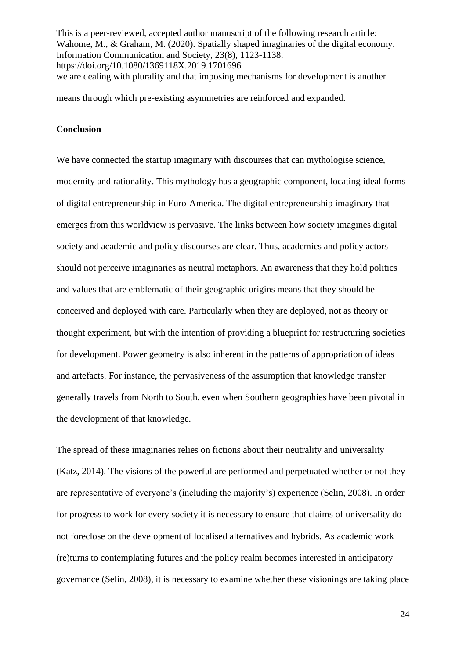This is a peer-reviewed, accepted author manuscript of the following research article: Wahome, M., & Graham, M. (2020). Spatially shaped imaginaries of the digital economy. Information Communication and Society, 23(8), 1123-1138. https://doi.org/10.1080/1369118X.2019.1701696 we are dealing with plurality and that imposing mechanisms for development is another

means through which pre-existing asymmetries are reinforced and expanded.

## **Conclusion**

We have connected the startup imaginary with discourses that can mythologise science, modernity and rationality. This mythology has a geographic component, locating ideal forms of digital entrepreneurship in Euro-America. The digital entrepreneurship imaginary that emerges from this worldview is pervasive. The links between how society imagines digital society and academic and policy discourses are clear. Thus, academics and policy actors should not perceive imaginaries as neutral metaphors. An awareness that they hold politics and values that are emblematic of their geographic origins means that they should be conceived and deployed with care. Particularly when they are deployed, not as theory or thought experiment, but with the intention of providing a blueprint for restructuring societies for development. Power geometry is also inherent in the patterns of appropriation of ideas and artefacts. For instance, the pervasiveness of the assumption that knowledge transfer generally travels from North to South, even when Southern geographies have been pivotal in the development of that knowledge.

The spread of these imaginaries relies on fictions about their neutrality and universality (Katz, 2014). The visions of the powerful are performed and perpetuated whether or not they are representative of everyone's (including the majority's) experience (Selin, 2008). In order for progress to work for every society it is necessary to ensure that claims of universality do not foreclose on the development of localised alternatives and hybrids. As academic work (re)turns to contemplating futures and the policy realm becomes interested in anticipatory governance (Selin, 2008), it is necessary to examine whether these visionings are taking place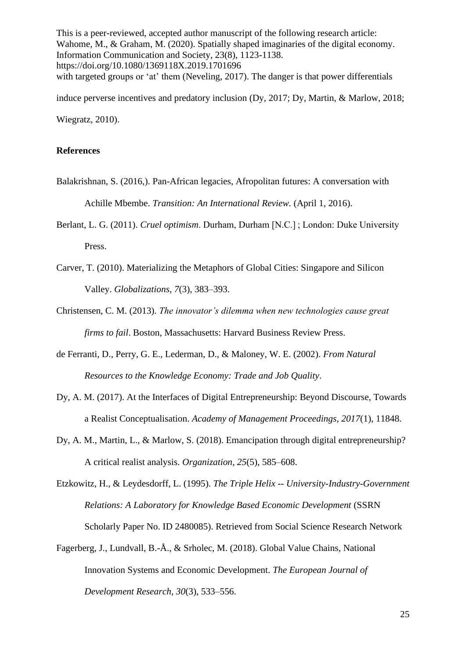This is a peer-reviewed, accepted author manuscript of the following research article: Wahome, M., & Graham, M. (2020). Spatially shaped imaginaries of the digital economy. Information Communication and Society, 23(8), 1123-1138. https://doi.org/10.1080/1369118X.2019.1701696 with targeted groups or 'at' them (Neveling, 2017). The danger is that power differentials

induce perverse incentives and predatory inclusion (Dy, 2017; Dy, Martin, & Marlow, 2018; Wiegratz, 2010).

# **References**

- Balakrishnan, S. (2016,). Pan-African legacies, Afropolitan futures: A conversation with Achille Mbembe. *Transition: An International Review.* (April 1, 2016).
- Berlant, L. G. (2011). *Cruel optimism*. Durham, Durham [N.C.] ; London: Duke University Press.
- Carver, T. (2010). Materializing the Metaphors of Global Cities: Singapore and Silicon Valley. *Globalizations*, *7*(3), 383–393.
- Christensen, C. M. (2013). *The innovator's dilemma when new technologies cause great firms to fail*. Boston, Massachusetts: Harvard Business Review Press.
- de Ferranti, D., Perry, G. E., Lederman, D., & Maloney, W. E. (2002). *From Natural Resources to the Knowledge Economy: Trade and Job Quality*.
- Dy, A. M. (2017). At the Interfaces of Digital Entrepreneurship: Beyond Discourse, Towards a Realist Conceptualisation. *Academy of Management Proceedings*, *2017*(1), 11848.
- Dy, A. M., Martin, L., & Marlow, S. (2018). Emancipation through digital entrepreneurship? A critical realist analysis. *Organization*, *25*(5), 585–608.

Etzkowitz, H., & Leydesdorff, L. (1995). *The Triple Helix -- University-Industry-Government Relations: A Laboratory for Knowledge Based Economic Development* (SSRN Scholarly Paper No. ID 2480085). Retrieved from Social Science Research Network

Fagerberg, J., Lundvall, B.-Å., & Srholec, M. (2018). Global Value Chains, National Innovation Systems and Economic Development. *The European Journal of Development Research*, *30*(3), 533–556.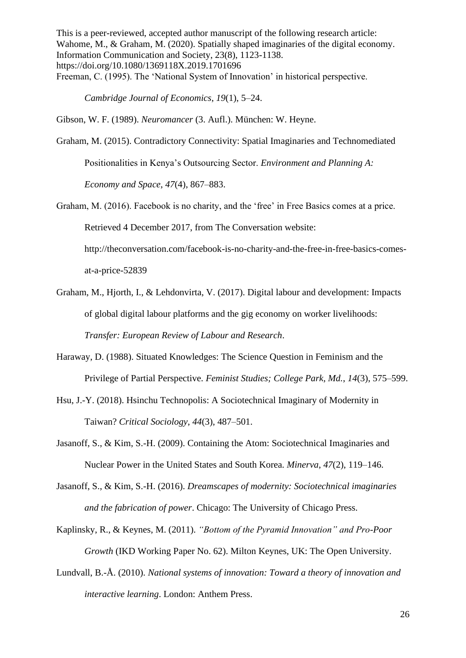This is a peer-reviewed, accepted author manuscript of the following research article: Wahome, M., & Graham, M. (2020). Spatially shaped imaginaries of the digital economy. Information Communication and Society, 23(8), 1123-1138. https://doi.org/10.1080/1369118X.2019.1701696 Freeman, C. (1995). The 'National System of Innovation' in historical perspective.

*Cambridge Journal of Economics*, *19*(1), 5–24.

Gibson, W. F. (1989). *Neuromancer* (3. Aufl.). München: W. Heyne.

Graham, M. (2015). Contradictory Connectivity: Spatial Imaginaries and Technomediated

Positionalities in Kenya's Outsourcing Sector. *Environment and Planning A:* 

*Economy and Space*, *47*(4), 867–883.

Graham, M. (2016). Facebook is no charity, and the 'free' in Free Basics comes at a price. Retrieved 4 December 2017, from The Conversation website: http://theconversation.com/facebook-is-no-charity-and-the-free-in-free-basics-comes-

at-a-price-52839

- Graham, M., Hjorth, I., & Lehdonvirta, V. (2017). Digital labour and development: Impacts of global digital labour platforms and the gig economy on worker livelihoods: *Transfer: European Review of Labour and Research*.
- Haraway, D. (1988). Situated Knowledges: The Science Question in Feminism and the Privilege of Partial Perspective. *Feminist Studies; College Park, Md.*, *14*(3), 575–599.
- Hsu, J.-Y. (2018). Hsinchu Technopolis: A Sociotechnical Imaginary of Modernity in Taiwan? *Critical Sociology*, *44*(3), 487–501.
- Jasanoff, S., & Kim, S.-H. (2009). Containing the Atom: Sociotechnical Imaginaries and Nuclear Power in the United States and South Korea. *Minerva*, *47*(2), 119–146.
- Jasanoff, S., & Kim, S.-H. (2016). *Dreamscapes of modernity: Sociotechnical imaginaries and the fabrication of power*. Chicago: The University of Chicago Press.
- Kaplinsky, R., & Keynes, M. (2011). *"Bottom of the Pyramid Innovation" and Pro-Poor Growth* (IKD Working Paper No. 62). Milton Keynes, UK: The Open University.
- Lundvall, B.-Å. (2010). *National systems of innovation: Toward a theory of innovation and interactive learning*. London: Anthem Press.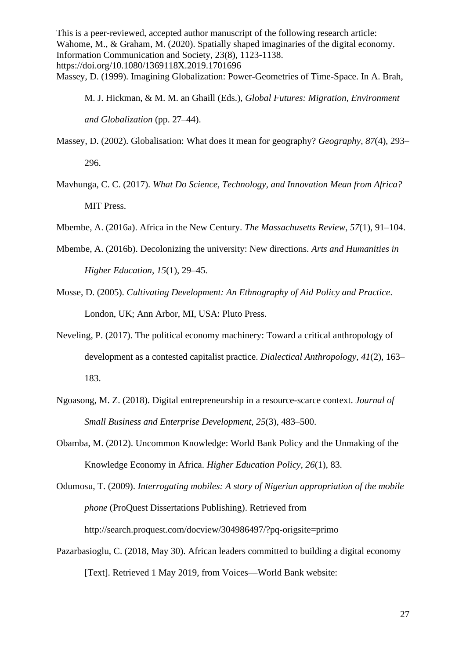This is a peer-reviewed, accepted author manuscript of the following research article: Wahome, M., & Graham, M. (2020). Spatially shaped imaginaries of the digital economy. Information Communication and Society, 23(8), 1123-1138. https://doi.org/10.1080/1369118X.2019.1701696 Massey, D. (1999). Imagining Globalization: Power-Geometries of Time-Space. In A. Brah,

M. J. Hickman, & M. M. an Ghaill (Eds.), *Global Futures: Migration, Environment and Globalization* (pp. 27–44).

- Massey, D. (2002). Globalisation: What does it mean for geography? *Geography*, *87*(4), 293– 296.
- Mavhunga, C. C. (2017). *What Do Science, Technology, and Innovation Mean from Africa?* MIT Press.
- Mbembe, A. (2016a). Africa in the New Century. *The Massachusetts Review*, *57*(1), 91–104.
- Mbembe, A. (2016b). Decolonizing the university: New directions. *Arts and Humanities in Higher Education*, *15*(1), 29–45.
- Mosse, D. (2005). *Cultivating Development: An Ethnography of Aid Policy and Practice*. London, UK; Ann Arbor, MI, USA: Pluto Press.
- Neveling, P. (2017). The political economy machinery: Toward a critical anthropology of development as a contested capitalist practice. *Dialectical Anthropology*, *41*(2), 163– 183.
- Ngoasong, M. Z. (2018). Digital entrepreneurship in a resource-scarce context. *Journal of Small Business and Enterprise Development*, *25*(3), 483–500.
- Obamba, M. (2012). Uncommon Knowledge: World Bank Policy and the Unmaking of the Knowledge Economy in Africa. *Higher Education Policy*, *26*(1), 83.

Odumosu, T. (2009). *Interrogating mobiles: A story of Nigerian appropriation of the mobile phone* (ProQuest Dissertations Publishing). Retrieved from http://search.proquest.com/docview/304986497/?pq-origsite=primo

Pazarbasioglu, C. (2018, May 30). African leaders committed to building a digital economy [Text]. Retrieved 1 May 2019, from Voices—World Bank website: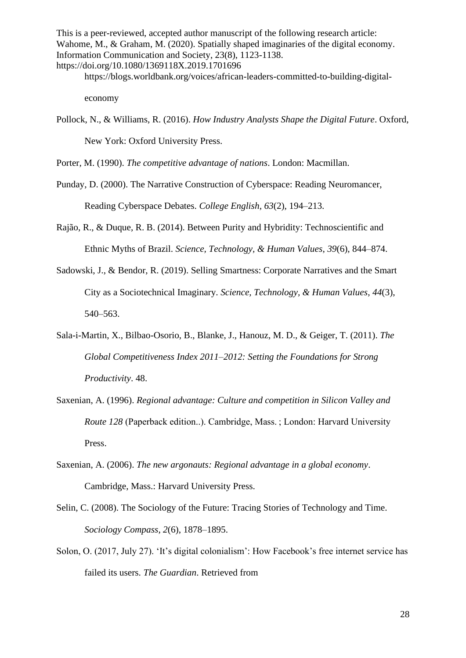https://blogs.worldbank.org/voices/african-leaders-committed-to-building-digital-

economy

Pollock, N., & Williams, R. (2016). *How Industry Analysts Shape the Digital Future*. Oxford, New York: Oxford University Press.

Porter, M. (1990). *The competitive advantage of nations*. London: Macmillan.

- Punday, D. (2000). The Narrative Construction of Cyberspace: Reading Neuromancer, Reading Cyberspace Debates. *College English*, *63*(2), 194–213.
- Rajão, R., & Duque, R. B. (2014). Between Purity and Hybridity: Technoscientific and Ethnic Myths of Brazil. *Science, Technology, & Human Values*, *39*(6), 844–874.
- Sadowski, J., & Bendor, R. (2019). Selling Smartness: Corporate Narratives and the Smart City as a Sociotechnical Imaginary. *Science, Technology, & Human Values*, *44*(3), 540–563.
- Sala-i-Martin, X., Bilbao-Osorio, B., Blanke, J., Hanouz, M. D., & Geiger, T. (2011). *The Global Competitiveness Index 2011–2012: Setting the Foundations for Strong Productivity*. 48.
- Saxenian, A. (1996). *Regional advantage: Culture and competition in Silicon Valley and Route 128* (Paperback edition..). Cambridge, Mass. ; London: Harvard University Press.
- Saxenian, A. (2006). *The new argonauts: Regional advantage in a global economy*. Cambridge, Mass.: Harvard University Press.
- Selin, C. (2008). The Sociology of the Future: Tracing Stories of Technology and Time. *Sociology Compass*, *2*(6), 1878–1895.
- Solon, O. (2017, July 27). 'It's digital colonialism': How Facebook's free internet service has failed its users. *The Guardian*. Retrieved from